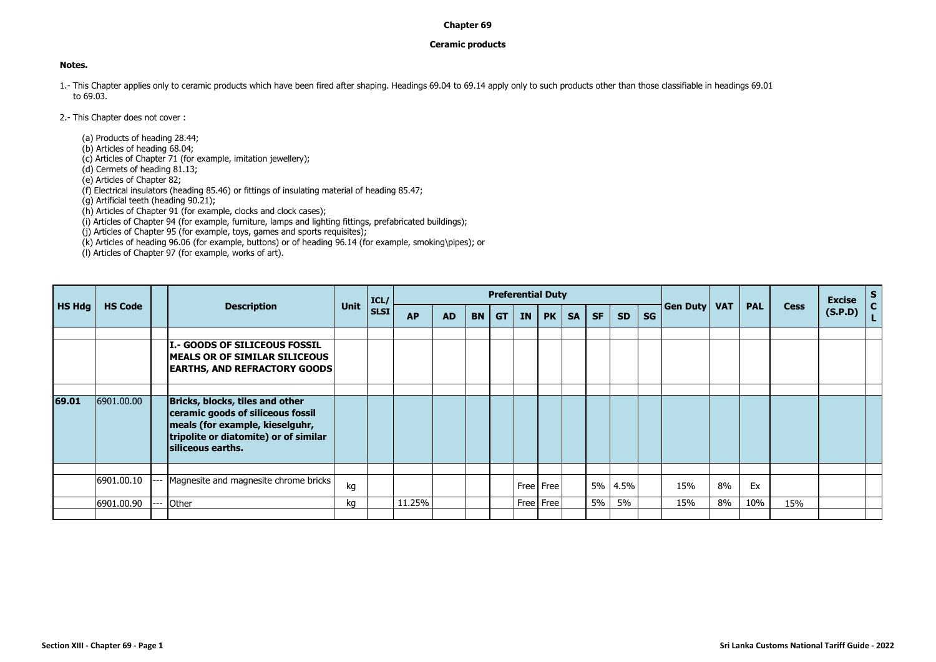## **Chapter 69**

## **Ceramic products**

## **Notes.**

- 1.- This Chapter applies only to ceramic products which have been fired after shaping. Headings 69.04 to 69.14 apply only to such products other than those classifiable in headings 69.01 to 69.03.
- 2.- This Chapter does not cover :

(a) Products of heading 28.44;

(b) Articles of heading 68.04;

(c) Articles of Chapter 71 (for example, imitation jewellery);

(d) Cermets of heading 81.13;

(e) Articles of Chapter 82;

(f) Electrical insulators (heading 85.46) or fittings of insulating material of heading 85.47;

(g) Artificial teeth (heading 90.21);

(h) Articles of Chapter 91 (for example, clocks and clock cases);

(i) Articles of Chapter 94 (for example, furniture, lamps and lighting fittings, prefabricated buildings);

(j) Articles of Chapter 95 (for example, toys, games and sports requisites);

(k) Articles of heading 96.06 (for example, buttons) or of heading 96.14 (for example, smoking\pipes); or

(l) Articles of Chapter 97 (for example, works of art).

|               |                |                                                                                                                                                                       |             | ICL/ |           |           |           |           | <b>Preferential Duty</b> |             |           |           |           |           |                 |            |            |             | <b>Excise</b> | $S_{C}$ |
|---------------|----------------|-----------------------------------------------------------------------------------------------------------------------------------------------------------------------|-------------|------|-----------|-----------|-----------|-----------|--------------------------|-------------|-----------|-----------|-----------|-----------|-----------------|------------|------------|-------------|---------------|---------|
| <b>HS Hdg</b> | <b>HS Code</b> | <b>Description</b>                                                                                                                                                    | <b>Unit</b> | SLSI | <b>AP</b> | <b>AD</b> | <b>BN</b> | <b>GT</b> | <b>IN</b>                | PK          | <b>SA</b> | <b>SF</b> | <b>SD</b> | <b>SG</b> | <b>Gen Duty</b> | <b>VAT</b> | <b>PAL</b> | <b>Cess</b> | (S.P.D)       |         |
|               |                | <b>II - GOODS OF SILICEOUS FOSSIL</b><br><b>IMEALS OR OF SIMILAR SILICEOUS</b><br><b>EARTHS, AND REFRACTORY GOODS</b>                                                 |             |      |           |           |           |           |                          |             |           |           |           |           |                 |            |            |             |               |         |
| 69.01         | 6901.00.00     | Bricks, blocks, tiles and other<br>ceramic goods of siliceous fossil<br>meals (for example, kieselguhr,<br>tripolite or diatomite) or of similar<br>siliceous earths. |             |      |           |           |           |           |                          |             |           |           |           |           |                 |            |            |             |               |         |
|               | 6901.00.10     | --- Magnesite and magnesite chrome bricks                                                                                                                             | kg          |      |           |           |           |           |                          | Free   Free |           |           | 5% 4.5%   |           | 15%             | 8%         | Ex         |             |               |         |
|               | 6901.00.90     | Other                                                                                                                                                                 | kg          |      | 11.25%    |           |           |           |                          | Free   Free |           | 5%        | 5%        |           | 15%             | 8%         | 10%        | 15%         |               |         |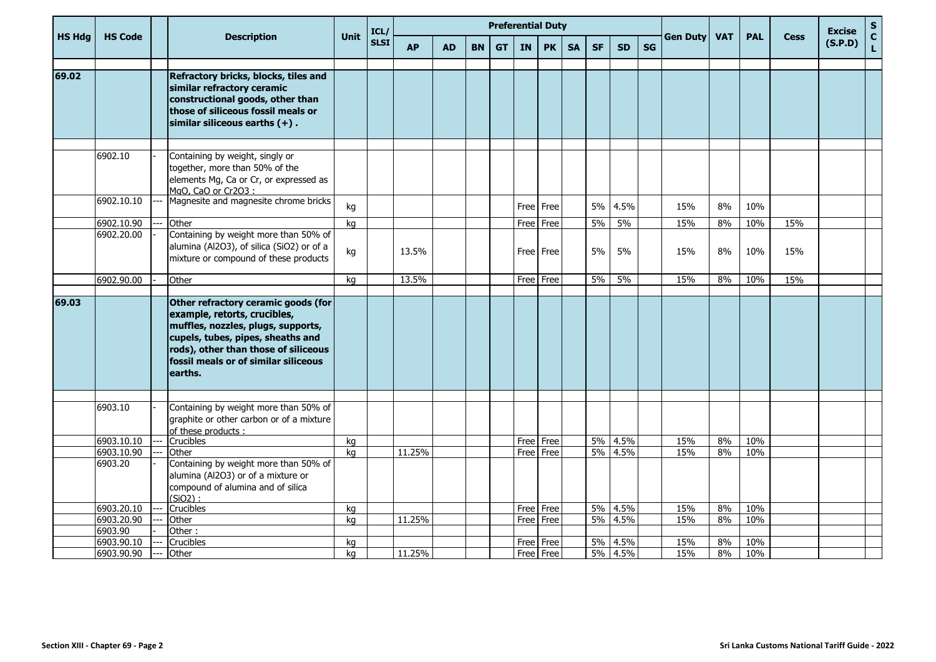|               |                |     |                                                                                                                                                                                                                                           |             | ICL/        |           |           |           |           | <b>Preferential Duty</b> |             |           |           |           |           |                 |            |            |             | <b>Excise</b> | ${\sf s}$                   |
|---------------|----------------|-----|-------------------------------------------------------------------------------------------------------------------------------------------------------------------------------------------------------------------------------------------|-------------|-------------|-----------|-----------|-----------|-----------|--------------------------|-------------|-----------|-----------|-----------|-----------|-----------------|------------|------------|-------------|---------------|-----------------------------|
| <b>HS Hdg</b> | <b>HS Code</b> |     | <b>Description</b>                                                                                                                                                                                                                        | <b>Unit</b> | <b>SLSI</b> | <b>AP</b> | <b>AD</b> | <b>BN</b> | <b>GT</b> | <b>IN</b>                | <b>PK</b>   | <b>SA</b> | <b>SF</b> | <b>SD</b> | <b>SG</b> | <b>Gen Duty</b> | <b>VAT</b> | <b>PAL</b> | <b>Cess</b> | (S.P.D)       | $\mathbf{C}$<br>$\mathbf L$ |
| 69.02         |                |     | Refractory bricks, blocks, tiles and<br>similar refractory ceramic<br>constructional goods, other than<br>those of siliceous fossil meals or<br>similar siliceous earths $(+)$ .                                                          |             |             |           |           |           |           |                          |             |           |           |           |           |                 |            |            |             |               |                             |
|               | 6902.10        |     | Containing by weight, singly or<br>together, more than 50% of the<br>elements Mg, Ca or Cr, or expressed as<br>MgO, CaO or Cr2O3:                                                                                                         |             |             |           |           |           |           |                          |             |           |           |           |           |                 |            |            |             |               |                             |
|               | 6902.10.10     |     | Magnesite and magnesite chrome bricks                                                                                                                                                                                                     | kg          |             |           |           |           |           |                          | Free Free   |           | 5%        | 4.5%      |           | 15%             | 8%         | 10%        |             |               |                             |
|               | 6902.10.90     |     | Other                                                                                                                                                                                                                                     | kq          |             |           |           |           |           |                          | Free Free   |           | 5%        | 5%        |           | 15%             | 8%         | 10%        | 15%         |               |                             |
|               | 6902.20.00     |     | Containing by weight more than 50% of<br>alumina (Al2O3), of silica (SiO2) or of a<br>mixture or compound of these products                                                                                                               | kg          |             | 13.5%     |           |           |           |                          | Free Free   |           | 5%        | 5%        |           | 15%             | 8%         | 10%        | 15%         |               |                             |
|               | 6902.90.00     |     | Other                                                                                                                                                                                                                                     | kg          |             | 13.5%     |           |           |           |                          | Free   Free |           | 5%        | 5%        |           | 15%             | 8%         | 10%        | 15%         |               |                             |
| 69.03         |                |     | Other refractory ceramic goods (for<br>example, retorts, crucibles,<br>muffles, nozzles, plugs, supports,<br>cupels, tubes, pipes, sheaths and<br>rods), other than those of siliceous<br>fossil meals or of similar siliceous<br>earths. |             |             |           |           |           |           |                          |             |           |           |           |           |                 |            |            |             |               |                             |
|               | 6903.10        |     | Containing by weight more than 50% of<br>graphite or other carbon or of a mixture<br>of these products:                                                                                                                                   |             |             |           |           |           |           |                          |             |           |           |           |           |                 |            |            |             |               |                             |
|               | 6903.10.10     |     | Crucibles                                                                                                                                                                                                                                 | kg          |             |           |           |           |           | Free Free                |             |           | 5%        | 4.5%      |           | 15%             | 8%         | 10%        |             |               |                             |
|               | 6903.10.90     |     | Other                                                                                                                                                                                                                                     | ka          |             | 11.25%    |           |           |           |                          | Free Free   |           | 5%        | 4.5%      |           | 15%             | 8%         | 10%        |             |               |                             |
|               | 6903.20        |     | Containing by weight more than 50% of<br>alumina (Al2O3) or of a mixture or<br>compound of alumina and of silica<br>$(SiO2)$ :                                                                                                            |             |             |           |           |           |           |                          |             |           |           |           |           |                 |            |            |             |               |                             |
|               | 6903.20.10     |     | Crucibles                                                                                                                                                                                                                                 | kg          |             |           |           |           |           | Free Free                |             |           |           | 5% 4.5%   |           | 15%             | 8%         | 10%        |             |               |                             |
|               | 6903.20.90     |     | Other                                                                                                                                                                                                                                     | kg          |             | 11.25%    |           |           |           | Free Free                |             |           |           | 5% 4.5%   |           | 15%             | 8%         | 10%        |             |               |                             |
|               | 6903.90        |     | Other:                                                                                                                                                                                                                                    |             |             |           |           |           |           |                          |             |           |           |           |           |                 |            |            |             |               |                             |
|               | 6903.90.10     | --- | Crucibles                                                                                                                                                                                                                                 | kg          |             |           |           |           |           |                          | Free Free   |           | 5%        | 4.5%      |           | 15%             | 8%         | 10%        |             |               |                             |
|               | 6903.90.90     | --- | Other                                                                                                                                                                                                                                     | ka          |             | 11.25%    |           |           |           | Free Free                |             |           |           | 5% 4.5%   |           | 15%             | 8%         | 10%        |             |               |                             |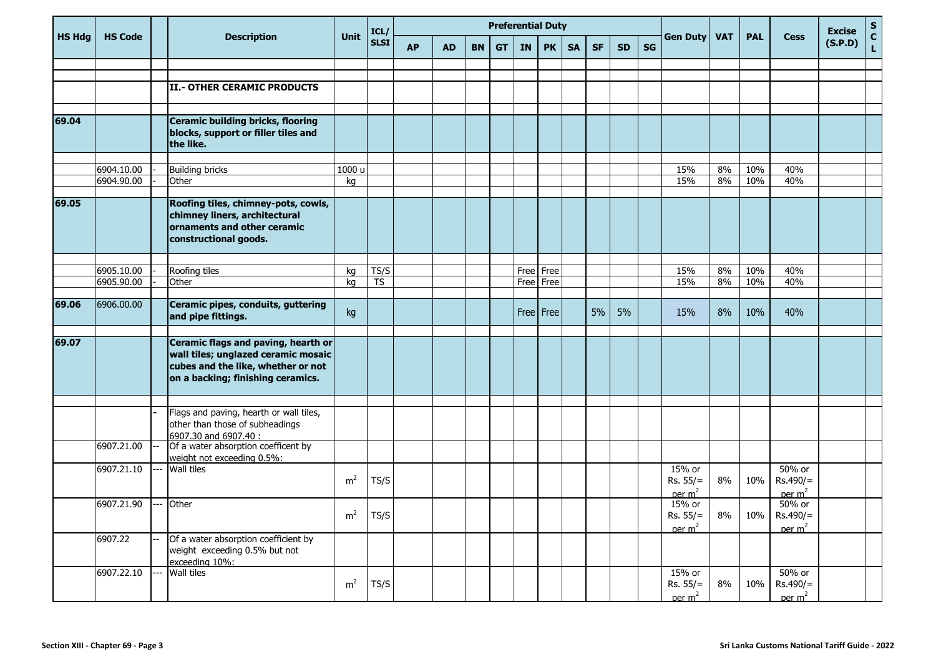|               |                          |                                                                                                                                                       |                | ICL/                   |           |           |           |           | <b>Preferential Duty</b> |             |           |           |           |           |                                            |            |            |                                                                 | <b>Excise</b> | $S_{C}$            |
|---------------|--------------------------|-------------------------------------------------------------------------------------------------------------------------------------------------------|----------------|------------------------|-----------|-----------|-----------|-----------|--------------------------|-------------|-----------|-----------|-----------|-----------|--------------------------------------------|------------|------------|-----------------------------------------------------------------|---------------|--------------------|
| <b>HS Hdg</b> | <b>HS Code</b>           | <b>Description</b>                                                                                                                                    | <b>Unit</b>    | <b>SLSI</b>            | <b>AP</b> | <b>AD</b> | <b>BN</b> | <b>GT</b> | IN                       | <b>PK</b>   | <b>SA</b> | <b>SF</b> | <b>SD</b> | <b>SG</b> | <b>Gen Duty</b>                            | <b>VAT</b> | <b>PAL</b> | <b>Cess</b>                                                     | (S.P.D)       | $\bar{\mathbf{L}}$ |
|               |                          |                                                                                                                                                       |                |                        |           |           |           |           |                          |             |           |           |           |           |                                            |            |            |                                                                 |               |                    |
|               |                          |                                                                                                                                                       |                |                        |           |           |           |           |                          |             |           |           |           |           |                                            |            |            |                                                                 |               |                    |
|               |                          | II.- OTHER CERAMIC PRODUCTS                                                                                                                           |                |                        |           |           |           |           |                          |             |           |           |           |           |                                            |            |            |                                                                 |               |                    |
|               |                          |                                                                                                                                                       |                |                        |           |           |           |           |                          |             |           |           |           |           |                                            |            |            |                                                                 |               |                    |
| 69.04         |                          | Ceramic building bricks, flooring<br>blocks, support or filler tiles and<br>the like.                                                                 |                |                        |           |           |           |           |                          |             |           |           |           |           |                                            |            |            |                                                                 |               |                    |
|               |                          |                                                                                                                                                       |                |                        |           |           |           |           |                          |             |           |           |           |           |                                            |            |            |                                                                 |               |                    |
|               | 6904.10.00<br>6904.90.00 | <b>Building bricks</b>                                                                                                                                | 1000 u<br>kg   |                        |           |           |           |           |                          |             |           |           |           |           | 15%<br>15%                                 | 8%<br>8%   | 10%<br>10% | 40%<br>40%                                                      |               |                    |
|               |                          | Other                                                                                                                                                 |                |                        |           |           |           |           |                          |             |           |           |           |           |                                            |            |            |                                                                 |               |                    |
| 69.05         |                          | Roofing tiles, chimney-pots, cowls,<br>chimney liners, architectural<br>ornaments and other ceramic<br>constructional goods.                          |                |                        |           |           |           |           |                          |             |           |           |           |           |                                            |            |            |                                                                 |               |                    |
|               |                          |                                                                                                                                                       |                |                        |           |           |           |           |                          |             |           |           |           |           |                                            |            |            |                                                                 |               |                    |
|               | 6905.10.00               | Roofing tiles                                                                                                                                         | kg             | TS/S                   |           |           |           |           | Free                     | Free        |           |           |           |           | 15%                                        | 8%         | 10%        | 40%                                                             |               |                    |
|               | 6905.90.00               | Other                                                                                                                                                 | kg             | $\overline{\text{TS}}$ |           |           |           |           | Free                     | Free        |           |           |           |           | 15%                                        | 8%         | 10%        | 40%                                                             |               |                    |
| 69.06         | 6906.00.00               | Ceramic pipes, conduits, guttering<br>and pipe fittings.                                                                                              | kg             |                        |           |           |           |           |                          | Free   Free |           | 5%        | 5%        |           | 15%                                        | 8%         | 10%        | 40%                                                             |               |                    |
| 69.07         |                          | Ceramic flags and paving, hearth or<br>wall tiles; unglazed ceramic mosaic<br>cubes and the like, whether or not<br>on a backing; finishing ceramics. |                |                        |           |           |           |           |                          |             |           |           |           |           |                                            |            |            |                                                                 |               |                    |
|               |                          | Flags and paving, hearth or wall tiles,<br>other than those of subheadings<br>6907.30 and 6907.40 :                                                   |                |                        |           |           |           |           |                          |             |           |           |           |           |                                            |            |            |                                                                 |               |                    |
|               | 6907.21.00               | Of a water absorption coefficent by<br>weight not exceeding 0.5%:                                                                                     |                |                        |           |           |           |           |                          |             |           |           |           |           |                                            |            |            |                                                                 |               |                    |
|               | 6907.21.10               | Wall tiles                                                                                                                                            | m <sup>2</sup> | TS/S                   |           |           |           |           |                          |             |           |           |           |           | 15% or<br>$Rs. 55/=$<br>per $m2$           | 8%         | 10%        | 50% or<br>$Rs.490/=$<br>per m <sup>2</sup>                      |               |                    |
|               | 6907.21.90               | Other                                                                                                                                                 | m <sup>2</sup> | TS/S                   |           |           |           |           |                          |             |           |           |           |           | 15% or<br>per m <sup>2</sup>               |            |            | 50% or<br>Rs. 55/=   8%   10%   Rs. 490/=<br>per m <sup>2</sup> |               |                    |
|               | 6907.22                  | Of a water absorption coefficient by<br>weight exceeding 0.5% but not<br>exceeding 10%:                                                               |                |                        |           |           |           |           |                          |             |           |           |           |           |                                            |            |            |                                                                 |               |                    |
|               | 6907.22.10               | Wall tiles                                                                                                                                            | m <sup>2</sup> | TS/S                   |           |           |           |           |                          |             |           |           |           |           | 15% or<br>$Rs. 55/=$<br>per m <sup>2</sup> | 8%         | 10%        | 50% or<br>$Rs.490/=$<br>per m <sup>2</sup>                      |               |                    |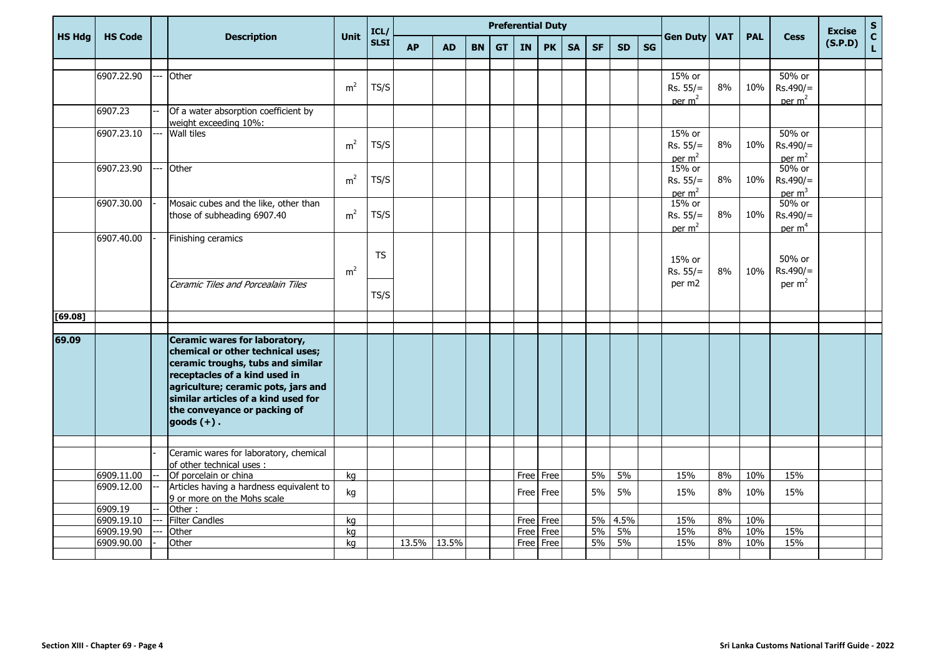|               |                          |     |                                                                     |                | ICL/        | <b>Preferential Duty</b> |           |           |           |                   |             |           |           |            |           |                    |            |            |                    | <b>Excise</b> | ${\sf s}$         |
|---------------|--------------------------|-----|---------------------------------------------------------------------|----------------|-------------|--------------------------|-----------|-----------|-----------|-------------------|-------------|-----------|-----------|------------|-----------|--------------------|------------|------------|--------------------|---------------|-------------------|
| <b>HS Hdg</b> | <b>HS Code</b>           |     | <b>Description</b>                                                  | Unit           | <b>SLSI</b> | <b>AP</b>                | <b>AD</b> | <b>BN</b> | <b>GT</b> | <b>IN</b>         | <b>PK</b>   | <b>SA</b> | <b>SF</b> | <b>SD</b>  | <b>SG</b> | <b>Gen Duty</b>    | <b>VAT</b> | <b>PAL</b> | <b>Cess</b>        | (S.P.D)       | $\mathbf{C}$<br>L |
|               |                          |     |                                                                     |                |             |                          |           |           |           |                   |             |           |           |            |           |                    |            |            |                    |               |                   |
|               | 6907.22.90               | L.  | Other                                                               |                |             |                          |           |           |           |                   |             |           |           |            |           | 15% or             |            |            | 50% or             |               |                   |
|               |                          |     |                                                                     | m <sup>2</sup> | TS/S        |                          |           |           |           |                   |             |           |           |            |           | $Rs. 55/=$         | 8%         | 10%        | $Rs.490/=$         |               |                   |
|               |                          |     |                                                                     |                |             |                          |           |           |           |                   |             |           |           |            |           | per $m2$           |            |            | per $m2$           |               |                   |
|               | 6907.23                  |     | Of a water absorption coefficient by<br>weight exceeding 10%:       |                |             |                          |           |           |           |                   |             |           |           |            |           |                    |            |            |                    |               |                   |
|               | 6907.23.10               | --- | <b>Wall tiles</b>                                                   |                |             |                          |           |           |           |                   |             |           |           |            |           | 15% or             |            |            | 50% or             |               |                   |
|               |                          |     |                                                                     | m <sup>2</sup> | TS/S        |                          |           |           |           |                   |             |           |           |            |           | $Rs. 55/=$         | 8%         | 10%        | $Rs.490/=$         |               |                   |
|               | 6907.23.90               | --- | Other                                                               |                |             |                          |           |           |           |                   |             |           |           |            |           | per $m2$<br>15% or |            |            | per $m2$<br>50% or |               |                   |
|               |                          |     |                                                                     | m <sup>2</sup> | TS/S        |                          |           |           |           |                   |             |           |           |            |           | $Rs. 55/=$         | 8%         | 10%        | $Rs.490/=$         |               |                   |
|               |                          |     |                                                                     |                |             |                          |           |           |           |                   |             |           |           |            |           | per m <sup>2</sup> |            |            | per m <sup>3</sup> |               |                   |
|               | 6907.30.00               |     | Mosaic cubes and the like, other than                               |                |             |                          |           |           |           |                   |             |           |           |            |           | 15% or             |            |            | 50% or             |               |                   |
|               |                          |     | those of subheading 6907.40                                         | m <sup>2</sup> | TS/S        |                          |           |           |           |                   |             |           |           |            |           | $Rs. 55/=$         | 8%         | 10%        | $Rs.490/=$         |               |                   |
|               |                          |     |                                                                     |                |             |                          |           |           |           |                   |             |           |           |            |           | per m <sup>2</sup> |            |            | per m <sup>4</sup> |               |                   |
|               | 6907.40.00               |     | Finishing ceramics                                                  |                |             |                          |           |           |           |                   |             |           |           |            |           |                    |            |            |                    |               |                   |
|               |                          |     |                                                                     |                | <b>TS</b>   |                          |           |           |           |                   |             |           |           |            |           | 15% or             |            |            | 50% or             |               |                   |
|               |                          |     |                                                                     | m <sup>2</sup> |             |                          |           |           |           |                   |             |           |           |            |           | $Rs. 55/=$         | 8%         | 10%        | $Rs.490/=$         |               |                   |
|               |                          |     | Ceramic Tiles and Porcealain Tiles                                  |                |             |                          |           |           |           |                   |             |           |           |            |           | per m2             |            |            | per $m2$           |               |                   |
|               |                          |     |                                                                     |                | TS/S        |                          |           |           |           |                   |             |           |           |            |           |                    |            |            |                    |               |                   |
|               |                          |     |                                                                     |                |             |                          |           |           |           |                   |             |           |           |            |           |                    |            |            |                    |               |                   |
| [69.08]       |                          |     |                                                                     |                |             |                          |           |           |           |                   |             |           |           |            |           |                    |            |            |                    |               |                   |
| 69.09         |                          |     | Ceramic wares for laboratory,                                       |                |             |                          |           |           |           |                   |             |           |           |            |           |                    |            |            |                    |               |                   |
|               |                          |     | chemical or other technical uses;                                   |                |             |                          |           |           |           |                   |             |           |           |            |           |                    |            |            |                    |               |                   |
|               |                          |     | ceramic troughs, tubs and similar                                   |                |             |                          |           |           |           |                   |             |           |           |            |           |                    |            |            |                    |               |                   |
|               |                          |     | receptacles of a kind used in                                       |                |             |                          |           |           |           |                   |             |           |           |            |           |                    |            |            |                    |               |                   |
|               |                          |     | agriculture; ceramic pots, jars and                                 |                |             |                          |           |           |           |                   |             |           |           |            |           |                    |            |            |                    |               |                   |
|               |                          |     | similar articles of a kind used for                                 |                |             |                          |           |           |           |                   |             |           |           |            |           |                    |            |            |                    |               |                   |
|               |                          |     | the conveyance or packing of                                        |                |             |                          |           |           |           |                   |             |           |           |            |           |                    |            |            |                    |               |                   |
|               |                          |     | $goods (+)$ .                                                       |                |             |                          |           |           |           |                   |             |           |           |            |           |                    |            |            |                    |               |                   |
|               |                          |     |                                                                     |                |             |                          |           |           |           |                   |             |           |           |            |           |                    |            |            |                    |               |                   |
|               |                          |     | Ceramic wares for laboratory, chemical<br>of other technical uses : |                |             |                          |           |           |           |                   |             |           |           |            |           |                    |            |            |                    |               |                   |
|               | 6909.11.00               |     | Of porcelain or china                                               | kg             |             |                          |           |           |           | Free Free         |             |           | 5%        | 5%         |           | 15%                | 8%         | 10%        | 15%                |               |                   |
|               | 6909.12.00               |     | Articles having a hardness equivalent to                            | kg             |             |                          |           |           |           |                   | Free Free   |           | 5%        | 5%         |           | 15%                | 8%         | 10%        | 15%                |               |                   |
|               |                          |     | 9 or more on the Mohs scale                                         |                |             |                          |           |           |           |                   |             |           |           |            |           |                    |            |            |                    |               |                   |
|               | 6909.19                  |     | Other:                                                              |                |             |                          |           |           |           |                   |             |           |           |            |           |                    |            |            |                    |               |                   |
|               | 6909.19.10<br>6909.19.90 | --- | <b>Filter Candles</b><br>Other                                      | kg<br>kg       |             |                          |           |           |           | Free Free<br>Free | Free        |           | 5%<br>5%  | 4.5%<br>5% |           | 15%<br>15%         | 8%<br>8%   | 10%<br>10% | 15%                |               |                   |
|               | 6909.90.00               |     | Other                                                               | kg             |             | 13.5%                    | 13.5%     |           |           |                   | Free   Free |           | 5%        | 5%         |           | 15%                | 8%         | 10%        | 15%                |               |                   |
|               |                          |     |                                                                     |                |             |                          |           |           |           |                   |             |           |           |            |           |                    |            |            |                    |               |                   |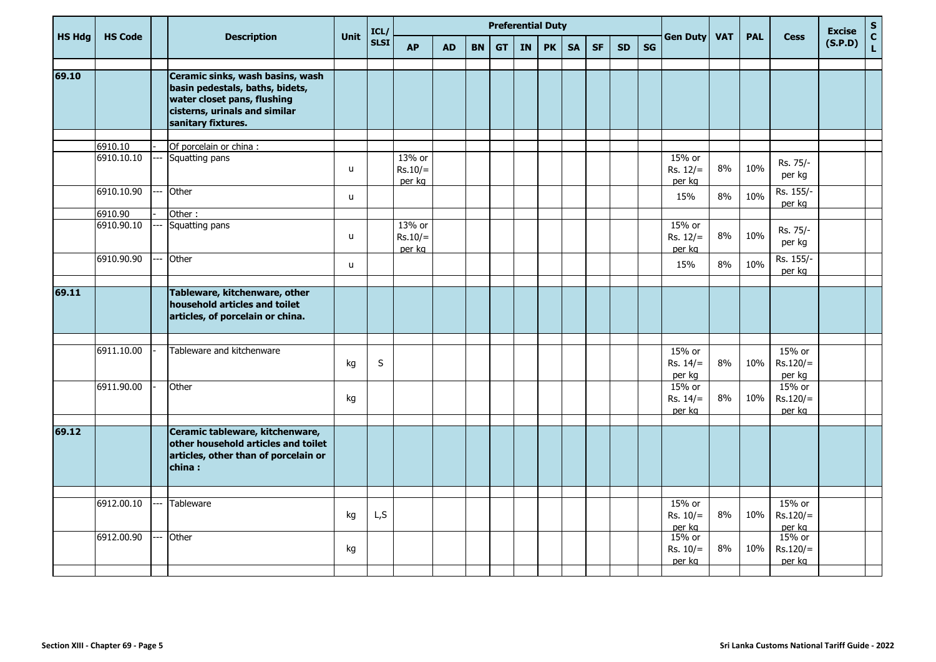| <b>SG</b><br><b>SD</b> | <b>Gen Duty</b>                | <b>VAT</b>                 | <b>PAL</b> | <b>Cess</b>                    | <b>Excise</b><br>(S.P.D) | $rac{S}{C}$        |
|------------------------|--------------------------------|----------------------------|------------|--------------------------------|--------------------------|--------------------|
|                        |                                |                            |            |                                |                          | $\bar{\mathbf{L}}$ |
|                        |                                |                            |            |                                |                          |                    |
|                        |                                |                            |            |                                |                          |                    |
|                        | 15% or<br>$Rs. 12/=$           | 8%                         | 10%        | Rs. 75/-<br>per kg             |                          |                    |
|                        | 15%                            | 8%                         | 10%        | Rs. 155/-                      |                          |                    |
|                        |                                |                            |            |                                |                          |                    |
|                        | $Rs. 12/=$<br>per ka           | 8%                         | 10%        | Rs. 75/-<br>per kg             |                          |                    |
|                        | 15%                            | 8%                         | 10%        | Rs. 155/-<br>per kg            |                          |                    |
|                        |                                |                            |            |                                |                          |                    |
|                        |                                |                            |            |                                |                          |                    |
|                        | 15% or<br>$Rs. 14/=$<br>per kg | 8%                         | 10%        | 15% or<br>$Rs.120/=$<br>per kg |                          |                    |
|                        | 15% or<br>$Rs. 14/=$<br>per kg | 8%                         | 10%        | 15% or<br>$Rs.120/=$<br>per kg |                          |                    |
|                        |                                |                            |            |                                |                          |                    |
|                        |                                |                            |            |                                |                          |                    |
|                        | $Rs. 10/=$<br>per kg           | 8%                         | 10%        | $Rs.120/=$<br>per kg           |                          |                    |
|                        | 15% or<br>$Rs. 10/=$<br>per kg | 8%                         | 10%        | 15% or<br>$Rs.120/=$<br>per kg |                          |                    |
|                        |                                | per kg<br>15% or<br>15% or |            |                                | per kg<br>15% or         |                    |